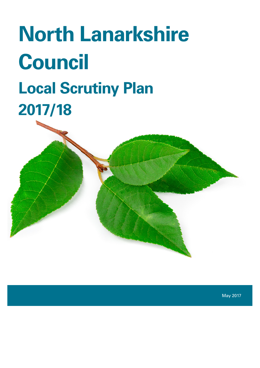# **North Lanarkshire Council Local Scrutiny Plan 2017/18**

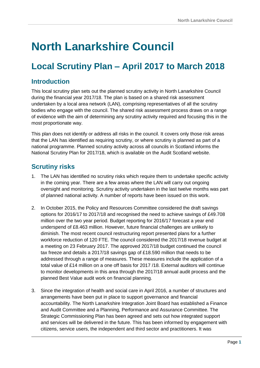# **North Lanarkshire Council**

### **Local Scrutiny Plan – April 2017 to March 2018**

#### **Introduction**

This local scrutiny plan sets out the planned scrutiny activity in North Lanarkshire Council during the financial year 2017/18. The plan is based on a shared risk assessment undertaken by a local area network (LAN), comprising representatives of all the scrutiny bodies who engage with the council. The shared risk assessment process draws on a range of evidence with the aim of determining any scrutiny activity required and focusing this in the most proportionate way.

This plan does not identify or address all risks in the council. It covers only those risk areas that the LAN has identified as requiring scrutiny, or where scrutiny is planned as part of a national programme. Planned scrutiny activity across all councils in Scotland informs the National Scrutiny Plan for 2017/18, which is available on the Audit Scotland website.

#### **Scrutiny risks**

- 1. The LAN has identified no scrutiny risks which require them to undertake specific activity in the coming year. There are a few areas where the LAN will carry out ongoing oversight and monitoring. Scrutiny activity undertaken in the last twelve months was part of planned national activity. A number of reports have been issued on this work.
- 2. In October 2015, the Policy and Resources Committee considered the draft savings options for 2016/17 to 2017/18 and recognised the need to achieve savings of £49.708 million over the two year period. Budget reporting for 2016/17 forecast a year end underspend of £8.463 million. However, future financial challenges are unlikely to diminish. The most recent council restructuring report presented plans for a further workforce reduction of 120 FTE. The council considered the 2017/18 revenue budget at a meeting on 23 February 2017. The approved 2017/18 budget continued the council tax freeze and details a 2017/18 savings gap of £18.590 million that needs to be addressed through a range of measures. These measures include the application of a total value of £14 million on a one off basis for 2017 /18. External auditors will continue to monitor developments in this area through the 2017/18 annual audit process and the planned Best Value audit work on financial planning.
- 3. Since the integration of health and social care in April 2016, a number of structures and arrangements have been put in place to support governance and financial accountability. The North Lanarkshire Integration Joint Board has established a Finance and Audit Committee and a Planning, Performance and Assurance Committee. The Strategic Commissioning Plan has been agreed and sets out how integrated support and services will be delivered in the future. This has been informed by engagement with citizens, service users, the independent and third sector and practitioners. It was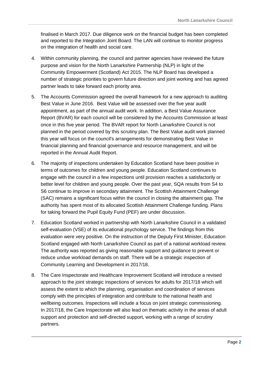finalised in March 2017. Due diligence work on the financial budget has been completed and reported to the Integration Joint Board. The LAN will continue to monitor progress on the integration of health and social care.

- 4. Within community planning, the council and partner agencies have reviewed the future purpose and vision for the North Lanarkshire Partnership (NLP) in light of the Community Empowerment (Scotland) Act 2015. The NLP Board has developed a number of strategic priorities to govern future direction and joint working and has agreed partner leads to take forward each priority area.
- 5. The Accounts Commission agreed the overall framework for a new approach to auditing Best Value in June 2016. Best Value will be assessed over the five year audit appointment, as part of the annual audit work. In addition, a Best Value Assurance Report (BVAR) for each council will be considered by the Accounts Commission at least once in this five year period. The BVAR report for North Lanarkshire Council is not planned in the period covered by this scrutiny plan. The Best Value audit work planned this year will focus on the council's arrangements for demonstrating Best Value in financial planning and financial governance and resource management, and will be reported in the Annual Audit Report.
- 6. The majority of inspections undertaken by Education Scotland have been positive in terms of outcomes for children and young people. Education Scotland continues to engage with the council in a few inspections until provision reaches a satisfactorily or better level for children and young people. Over the past year, SQA results from S4 to S6 continue to improve in secondary attainment. The Scottish Attainment Challenge (SAC) remains a significant focus within the council in closing the attainment gap. The authority has spent most of its allocated Scottish Attainment Challenge funding. Plans for taking forward the Pupil Equity Fund (PEF) are under discussion.
- 7. Education Scotland worked in partnership with North Lanarkshire Council in a validated self-evaluation (VSE) of its educational psychology service. The findings from this evaluation were very positive. On the instruction of the Deputy First Minister, Education Scotland engaged with North Lanarkshire Council as part of a national workload review. The authority was reported as giving reasonable support and guidance to prevent or reduce undue workload demands on staff. There will be a strategic inspection of Community Learning and Development in 2017/18.
- 8. The Care Inspectorate and Healthcare Improvement Scotland will introduce a revised approach to the joint strategic inspections of services for adults for 2017/18 which will assess the extent to which the planning, organisation and coordination of services comply with the principles of integration and contribute to the national health and wellbeing outcomes. Inspections will include a focus on joint strategic commissioning. In 2017/18, the Care Inspectorate will also lead on thematic activity in the areas of adult support and protection and self-directed support, working with a range of scrutiny partners.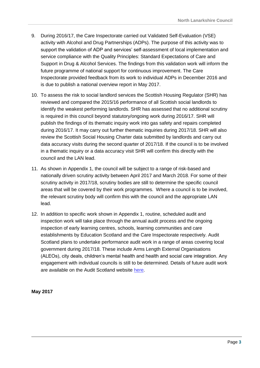- 9. During 2016/17, the Care Inspectorate carried out Validated Self-Evaluation (VSE) activity with Alcohol and Drug Partnerships (ADPs). The purpose of this activity was to support the validation of ADP and services' self-assessment of local implementation and service compliance with the Quality Principles: Standard Expectations of Care and Support in Drug & Alcohol Services. The findings from this validation work will inform the future programme of national support for continuous improvement. The Care Inspectorate provided feedback from its work to individual ADPs in December 2016 and is due to publish a national overview report in May 2017.
- 10. To assess the risk to social landlord services the Scottish Housing Regulator (SHR) has reviewed and compared the 2015/16 performance of all Scottish social landlords to identify the weakest performing landlords. SHR has assessed that no additional scrutiny is required in this council beyond statutory/ongoing work during 2016/17. SHR will publish the findings of its thematic inquiry work into gas safety and repairs completed during 2016/17. It may carry out further thematic inquiries during 2017/18. SHR will also review the Scottish Social Housing Charter data submitted by landlords and carry out data accuracy visits during the second quarter of 2017/18. If the council is to be involved in a thematic inquiry or a data accuracy visit SHR will confirm this directly with the council and the LAN lead.
- 11. As shown in Appendix 1, the council will be subject to a range of risk-based and nationally driven scrutiny activity between April 2017 and March 2018. For some of their scrutiny activity in 2017/18, scrutiny bodies are still to determine the specific council areas that will be covered by their work programmes. Where a council is to be involved, the relevant scrutiny body will confirm this with the council and the appropriate LAN lead.
- 12. In addition to specific work shown in Appendix 1, routine, scheduled audit and inspection work will take place through the annual audit process and the ongoing inspection of early learning centres, schools, learning communities and care establishments by Education Scotland and the Care Inspectorate respectively. Audit Scotland plans to undertake performance audit work in a range of areas covering local government during 2017/18. These include Arms Length External Organisations (ALEOs), city deals, children's mental health and health and social care integration. Any engagement with individual councils is still to be determined. Details of future audit work are available on the Audit Scotland website [here.](http://www.audit-scotland.gov.uk/our-work/future-work)

#### **May 2017**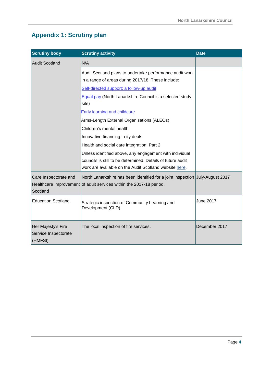#### **Appendix 1: Scrutiny plan**

| <b>Scrutiny body</b>                       | <b>Scrutiny activity</b>                                                                                                                             | <b>Date</b>      |
|--------------------------------------------|------------------------------------------------------------------------------------------------------------------------------------------------------|------------------|
| <b>Audit Scotland</b>                      | N/A                                                                                                                                                  |                  |
|                                            | Audit Scotland plans to undertake performance audit work<br>in a range of areas during 2017/18. These include:                                       |                  |
|                                            | Self-directed support: a follow-up audit                                                                                                             |                  |
|                                            | <b>Equal pay (North Lanarkshire Council is a selected study</b><br>site)                                                                             |                  |
|                                            | Early learning and childcare                                                                                                                         |                  |
|                                            | Arms-Length External Organisations (ALEOs)                                                                                                           |                  |
|                                            | Children's mental health                                                                                                                             |                  |
|                                            | Innovative financing - city deals                                                                                                                    |                  |
|                                            | Health and social care integration: Part 2                                                                                                           |                  |
|                                            | Unless identified above, any engagement with individual                                                                                              |                  |
|                                            | councils is still to be determined. Details of future audit                                                                                          |                  |
|                                            | work are available on the Audit Scotland website here.                                                                                               |                  |
| Care Inspectorate and<br>Scotland          | North Lanarkshire has been identified for a joint inspection July-August 2017<br>Healthcare Improvement of adult services within the 2017-18 period. |                  |
| <b>Education Scotland</b>                  | Strategic inspection of Community Learning and<br>Development (CLD)                                                                                  | <b>June 2017</b> |
| Her Majesty's Fire<br>Service Inspectorate | The local inspection of fire services.                                                                                                               | December 2017    |
| (HMFSI)                                    |                                                                                                                                                      |                  |